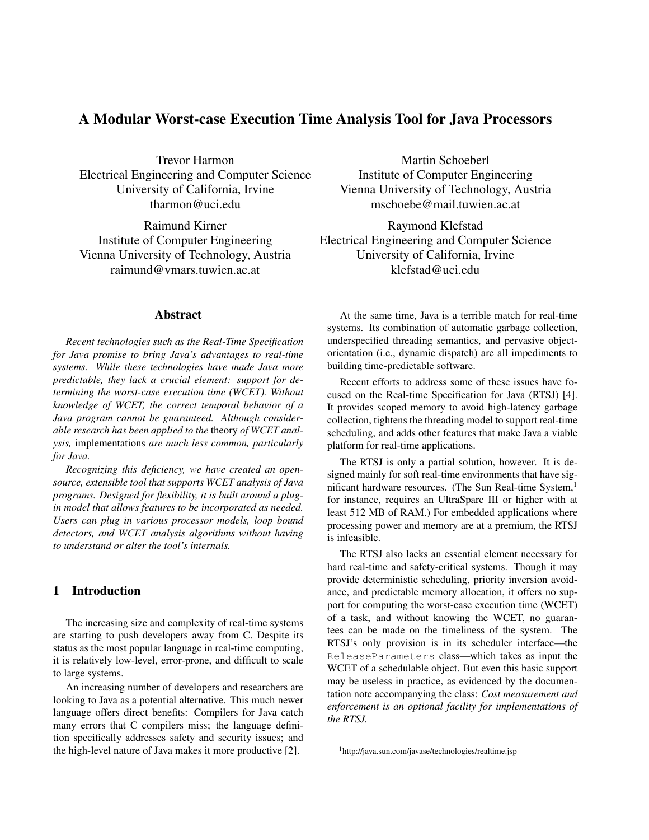# A Modular Worst-case Execution Time Analysis Tool for Java Processors

Trevor Harmon Electrical Engineering and Computer Science University of California, Irvine tharmon@uci.edu

Raimund Kirner Institute of Computer Engineering Vienna University of Technology, Austria raimund@vmars.tuwien.ac.at

# Abstract

*Recent technologies such as the Real-Time Specification for Java promise to bring Java's advantages to real-time systems. While these technologies have made Java more predictable, they lack a crucial element: support for determining the worst-case execution time (WCET). Without knowledge of WCET, the correct temporal behavior of a Java program cannot be guaranteed. Although considerable research has been applied to the* theory *of WCET analysis,* implementations *are much less common, particularly for Java.*

*Recognizing this deficiency, we have created an opensource, extensible tool that supports WCET analysis of Java programs. Designed for flexibility, it is built around a plugin model that allows features to be incorporated as needed. Users can plug in various processor models, loop bound detectors, and WCET analysis algorithms without having to understand or alter the tool's internals.*

# 1 Introduction

The increasing size and complexity of real-time systems are starting to push developers away from C. Despite its status as the most popular language in real-time computing, it is relatively low-level, error-prone, and difficult to scale to large systems.

An increasing number of developers and researchers are looking to Java as a potential alternative. This much newer language offers direct benefits: Compilers for Java catch many errors that C compilers miss; the language definition specifically addresses safety and security issues; and the high-level nature of Java makes it more productive [2].

Martin Schoeberl Institute of Computer Engineering Vienna University of Technology, Austria mschoebe@mail.tuwien.ac.at

Raymond Klefstad Electrical Engineering and Computer Science University of California, Irvine klefstad@uci.edu

At the same time, Java is a terrible match for real-time systems. Its combination of automatic garbage collection, underspecified threading semantics, and pervasive objectorientation (i.e., dynamic dispatch) are all impediments to building time-predictable software.

Recent efforts to address some of these issues have focused on the Real-time Specification for Java (RTSJ) [4]. It provides scoped memory to avoid high-latency garbage collection, tightens the threading model to support real-time scheduling, and adds other features that make Java a viable platform for real-time applications.

The RTSJ is only a partial solution, however. It is designed mainly for soft real-time environments that have significant hardware resources. (The Sun Real-time System,<sup>1</sup> for instance, requires an UltraSparc III or higher with at least 512 MB of RAM.) For embedded applications where processing power and memory are at a premium, the RTSJ is infeasible.

The RTSJ also lacks an essential element necessary for hard real-time and safety-critical systems. Though it may provide deterministic scheduling, priority inversion avoidance, and predictable memory allocation, it offers no support for computing the worst-case execution time (WCET) of a task, and without knowing the WCET, no guarantees can be made on the timeliness of the system. The RTSJ's only provision is in its scheduler interface—the ReleaseParameters class—which takes as input the WCET of a schedulable object. But even this basic support may be useless in practice, as evidenced by the documentation note accompanying the class: *Cost measurement and enforcement is an optional facility for implementations of the RTSJ.*

<sup>1</sup>http://java.sun.com/javase/technologies/realtime.jsp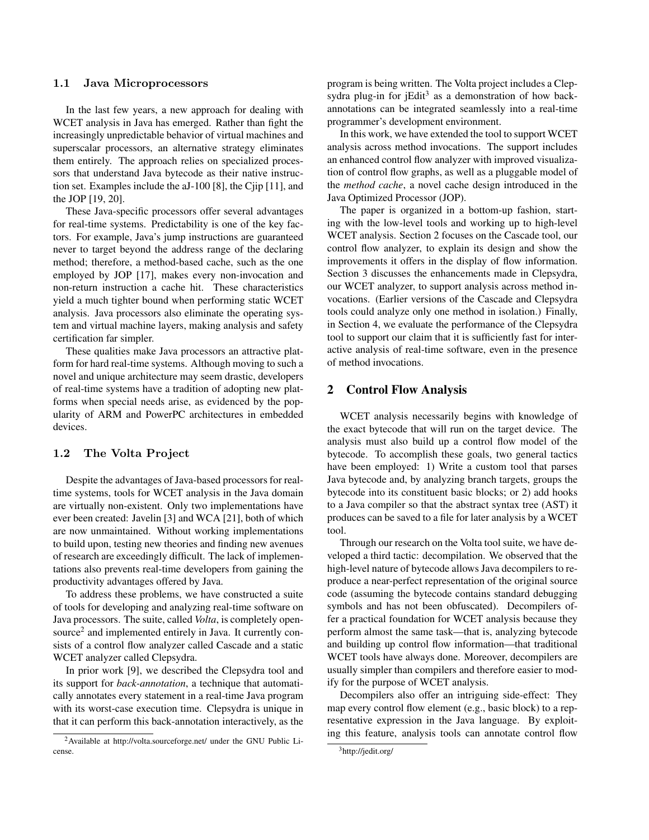#### 1.1 Java Microprocessors

In the last few years, a new approach for dealing with WCET analysis in Java has emerged. Rather than fight the increasingly unpredictable behavior of virtual machines and superscalar processors, an alternative strategy eliminates them entirely. The approach relies on specialized processors that understand Java bytecode as their native instruction set. Examples include the aJ-100 [8], the Cjip [11], and the JOP [19, 20].

These Java-specific processors offer several advantages for real-time systems. Predictability is one of the key factors. For example, Java's jump instructions are guaranteed never to target beyond the address range of the declaring method; therefore, a method-based cache, such as the one employed by JOP [17], makes every non-invocation and non-return instruction a cache hit. These characteristics yield a much tighter bound when performing static WCET analysis. Java processors also eliminate the operating system and virtual machine layers, making analysis and safety certification far simpler.

These qualities make Java processors an attractive platform for hard real-time systems. Although moving to such a novel and unique architecture may seem drastic, developers of real-time systems have a tradition of adopting new platforms when special needs arise, as evidenced by the popularity of ARM and PowerPC architectures in embedded devices.

## 1.2 The Volta Project

Despite the advantages of Java-based processors for realtime systems, tools for WCET analysis in the Java domain are virtually non-existent. Only two implementations have ever been created: Javelin [3] and WCA [21], both of which are now unmaintained. Without working implementations to build upon, testing new theories and finding new avenues of research are exceedingly difficult. The lack of implementations also prevents real-time developers from gaining the productivity advantages offered by Java.

To address these problems, we have constructed a suite of tools for developing and analyzing real-time software on Java processors. The suite, called *Volta*, is completely opensource<sup>2</sup> and implemented entirely in Java. It currently consists of a control flow analyzer called Cascade and a static WCET analyzer called Clepsydra.

In prior work [9], we described the Clepsydra tool and its support for *back-annotation*, a technique that automatically annotates every statement in a real-time Java program with its worst-case execution time. Clepsydra is unique in that it can perform this back-annotation interactively, as the

program is being written. The Volta project includes a Clepsydra plug-in for jEdit<sup>3</sup> as a demonstration of how backannotations can be integrated seamlessly into a real-time programmer's development environment.

In this work, we have extended the tool to support WCET analysis across method invocations. The support includes an enhanced control flow analyzer with improved visualization of control flow graphs, as well as a pluggable model of the *method cache*, a novel cache design introduced in the Java Optimized Processor (JOP).

The paper is organized in a bottom-up fashion, starting with the low-level tools and working up to high-level WCET analysis. Section 2 focuses on the Cascade tool, our control flow analyzer, to explain its design and show the improvements it offers in the display of flow information. Section 3 discusses the enhancements made in Clepsydra, our WCET analyzer, to support analysis across method invocations. (Earlier versions of the Cascade and Clepsydra tools could analyze only one method in isolation.) Finally, in Section 4, we evaluate the performance of the Clepsydra tool to support our claim that it is sufficiently fast for interactive analysis of real-time software, even in the presence of method invocations.

## 2 Control Flow Analysis

WCET analysis necessarily begins with knowledge of the exact bytecode that will run on the target device. The analysis must also build up a control flow model of the bytecode. To accomplish these goals, two general tactics have been employed: 1) Write a custom tool that parses Java bytecode and, by analyzing branch targets, groups the bytecode into its constituent basic blocks; or 2) add hooks to a Java compiler so that the abstract syntax tree (AST) it produces can be saved to a file for later analysis by a WCET tool.

Through our research on the Volta tool suite, we have developed a third tactic: decompilation. We observed that the high-level nature of bytecode allows Java decompilers to reproduce a near-perfect representation of the original source code (assuming the bytecode contains standard debugging symbols and has not been obfuscated). Decompilers offer a practical foundation for WCET analysis because they perform almost the same task—that is, analyzing bytecode and building up control flow information—that traditional WCET tools have always done. Moreover, decompilers are usually simpler than compilers and therefore easier to modify for the purpose of WCET analysis.

Decompilers also offer an intriguing side-effect: They map every control flow element (e.g., basic block) to a representative expression in the Java language. By exploiting this feature, analysis tools can annotate control flow

<sup>2</sup>Available at http://volta.sourceforge.net/ under the GNU Public License.

<sup>3</sup>http://jedit.org/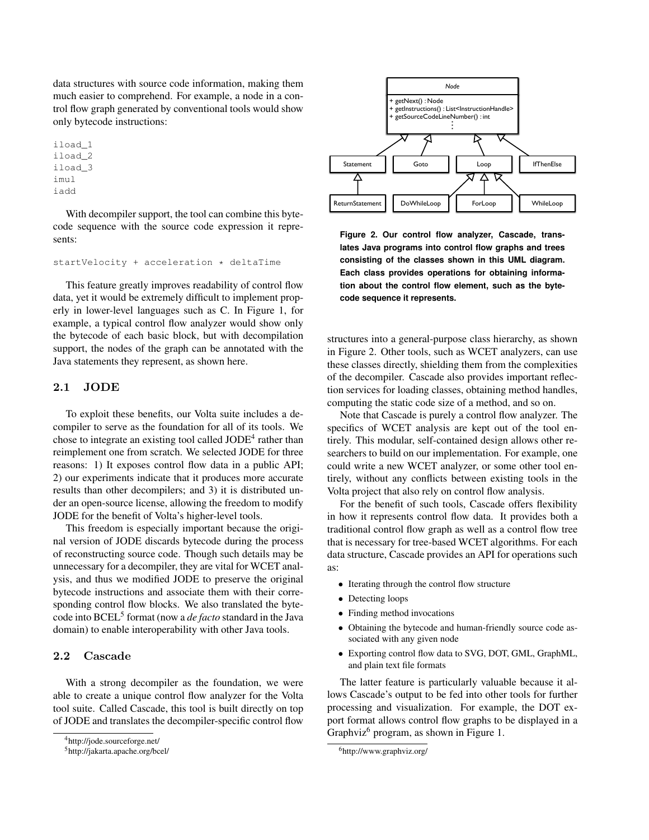data structures with source code information, making them much easier to comprehend. For example, a node in a control flow graph generated by conventional tools would show only bytecode instructions:

iload\_1 iload\_2 iload\_3 imul iadd

With decompiler support, the tool can combine this bytecode sequence with the source code expression it represents:

startVelocity + acceleration \* deltaTime

This feature greatly improves readability of control flow data, yet it would be extremely difficult to implement properly in lower-level languages such as C. In Figure 1, for example, a typical control flow analyzer would show only the bytecode of each basic block, but with decompilation support, the nodes of the graph can be annotated with the Java statements they represent, as shown here.

# 2.1 JODE

To exploit these benefits, our Volta suite includes a decompiler to serve as the foundation for all of its tools. We chose to integrate an existing tool called  $\text{JODE}^4$  rather than reimplement one from scratch. We selected JODE for three reasons: 1) It exposes control flow data in a public API; 2) our experiments indicate that it produces more accurate results than other decompilers; and 3) it is distributed under an open-source license, allowing the freedom to modify JODE for the benefit of Volta's higher-level tools.

This freedom is especially important because the original version of JODE discards bytecode during the process of reconstructing source code. Though such details may be unnecessary for a decompiler, they are vital for WCET analysis, and thus we modified JODE to preserve the original bytecode instructions and associate them with their corresponding control flow blocks. We also translated the bytecode into BCEL<sup>5</sup> format (now a *de facto* standard in the Java domain) to enable interoperability with other Java tools.

# 2.2 Cascade

With a strong decompiler as the foundation, we were able to create a unique control flow analyzer for the Volta tool suite. Called Cascade, this tool is built directly on top of JODE and translates the decompiler-specific control flow



**Figure 2. Our control flow analyzer, Cascade, translates Java programs into control flow graphs and trees consisting of the classes shown in this UML diagram. Each class provides operations for obtaining information about the control flow element, such as the bytecode sequence it represents.**

structures into a general-purpose class hierarchy, as shown in Figure 2. Other tools, such as WCET analyzers, can use these classes directly, shielding them from the complexities of the decompiler. Cascade also provides important reflection services for loading classes, obtaining method handles, computing the static code size of a method, and so on.

Note that Cascade is purely a control flow analyzer. The specifics of WCET analysis are kept out of the tool entirely. This modular, self-contained design allows other researchers to build on our implementation. For example, one could write a new WCET analyzer, or some other tool entirely, without any conflicts between existing tools in the Volta project that also rely on control flow analysis.

For the benefit of such tools, Cascade offers flexibility in how it represents control flow data. It provides both a traditional control flow graph as well as a control flow tree that is necessary for tree-based WCET algorithms. For each data structure, Cascade provides an API for operations such as:

- Iterating through the control flow structure
- Detecting loops
- Finding method invocations
- Obtaining the bytecode and human-friendly source code associated with any given node
- Exporting control flow data to SVG, DOT, GML, GraphML, and plain text file formats

The latter feature is particularly valuable because it allows Cascade's output to be fed into other tools for further processing and visualization. For example, the DOT export format allows control flow graphs to be displayed in a Graphviz<sup>6</sup> program, as shown in Figure 1.

<sup>4</sup>http://jode.sourceforge.net/

<sup>5</sup>http://jakarta.apache.org/bcel/

<sup>6</sup>http://www.graphviz.org/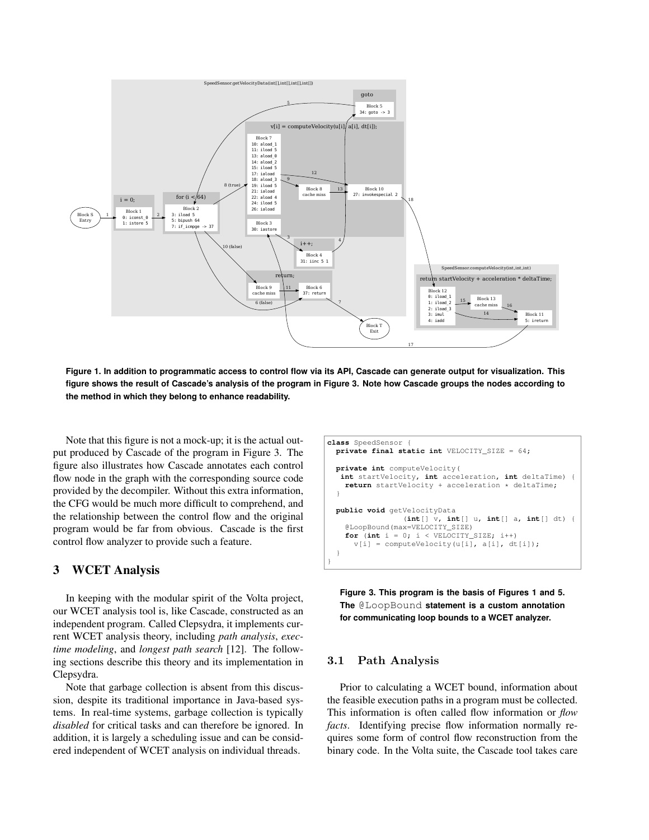

**Figure 1. In addition to programmatic access to control flow via its API, Cascade can generate output for visualization. This figure shows the result of Cascade's analysis of the program in Figure 3. Note how Cascade groups the nodes according to the method in which they belong to enhance readability.**

Note that this figure is not a mock-up; it is the actual output produced by Cascade of the program in Figure 3. The figure also illustrates how Cascade annotates each control flow node in the graph with the corresponding source code provided by the decompiler. Without this extra information, the CFG would be much more difficult to comprehend, and the relationship between the control flow and the original program would be far from obvious. Cascade is the first control flow analyzer to provide such a feature.

### 3 WCET Analysis

In keeping with the modular spirit of the Volta project, our WCET analysis tool is, like Cascade, constructed as an independent program. Called Clepsydra, it implements current WCET analysis theory, including *path analysis*, *exectime modeling*, and *longest path search* [12]. The following sections describe this theory and its implementation in Clepsydra.

Note that garbage collection is absent from this discussion, despite its traditional importance in Java-based systems. In real-time systems, garbage collection is typically *disabled* for critical tasks and can therefore be ignored. In addition, it is largely a scheduling issue and can be considered independent of WCET analysis on individual threads.

```
class SpeedSensor {
 private final static int VELOCITY_SIZE = 64;
 private int computeVelocity(
   int startVelocity, int acceleration, int deltaTime) {
   return startVelocity + acceleration * deltaTime;
  }
 public void getVelocityData
                 (int[] \nightharpoonup v, int[] u, int[] a, int[] dt)@LoopBound(max=VELOCITY_SIZE)
    for (int i = 0; i < VETOCTTYSTZE; i++)v[i] = computeVelocity(u[i], a[i], dt[i]);
  }
}
```
**Figure 3. This program is the basis of Figures 1 and 5. The** @LoopBound **statement is a custom annotation for communicating loop bounds to a WCET analyzer.**

#### 3.1 Path Analysis

Prior to calculating a WCET bound, information about the feasible execution paths in a program must be collected. This information is often called flow information or *flow facts*. Identifying precise flow information normally requires some form of control flow reconstruction from the binary code. In the Volta suite, the Cascade tool takes care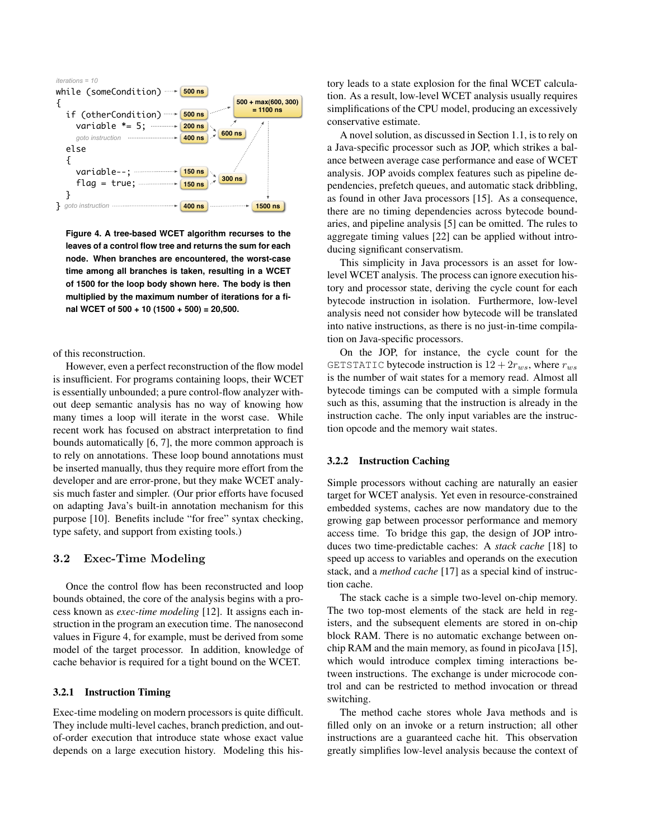

**Figure 4. A tree-based WCET algorithm recurses to the leaves of a control flow tree and returns the sum for each node. When branches are encountered, the worst-case time among all branches is taken, resulting in a WCET of 1500 for the loop body shown here. The body is then multiplied by the maximum number of iterations for a final WCET of 500 + 10 (1500 + 500) = 20,500.**

of this reconstruction.

However, even a perfect reconstruction of the flow model is insufficient. For programs containing loops, their WCET is essentially unbounded; a pure control-flow analyzer without deep semantic analysis has no way of knowing how many times a loop will iterate in the worst case. While recent work has focused on abstract interpretation to find bounds automatically [6, 7], the more common approach is to rely on annotations. These loop bound annotations must be inserted manually, thus they require more effort from the developer and are error-prone, but they make WCET analysis much faster and simpler. (Our prior efforts have focused on adapting Java's built-in annotation mechanism for this purpose [10]. Benefits include "for free" syntax checking, type safety, and support from existing tools.)

#### 3.2 Exec-Time Modeling

Once the control flow has been reconstructed and loop bounds obtained, the core of the analysis begins with a process known as *exec-time modeling* [12]. It assigns each instruction in the program an execution time. The nanosecond values in Figure 4, for example, must be derived from some model of the target processor. In addition, knowledge of cache behavior is required for a tight bound on the WCET.

#### 3.2.1 Instruction Timing

Exec-time modeling on modern processors is quite difficult. They include multi-level caches, branch prediction, and outof-order execution that introduce state whose exact value depends on a large execution history. Modeling this history leads to a state explosion for the final WCET calculation. As a result, low-level WCET analysis usually requires simplifications of the CPU model, producing an excessively conservative estimate.

A novel solution, as discussed in Section 1.1, is to rely on a Java-specific processor such as JOP, which strikes a balance between average case performance and ease of WCET analysis. JOP avoids complex features such as pipeline dependencies, prefetch queues, and automatic stack dribbling, as found in other Java processors [15]. As a consequence, there are no timing dependencies across bytecode boundaries, and pipeline analysis [5] can be omitted. The rules to aggregate timing values [22] can be applied without introducing significant conservatism.

This simplicity in Java processors is an asset for lowlevel WCET analysis. The process can ignore execution history and processor state, deriving the cycle count for each bytecode instruction in isolation. Furthermore, low-level analysis need not consider how bytecode will be translated into native instructions, as there is no just-in-time compilation on Java-specific processors.

On the JOP, for instance, the cycle count for the GETSTATIC bytecode instruction is  $12 + 2r_{ws}$ , where  $r_{ws}$ is the number of wait states for a memory read. Almost all bytecode timings can be computed with a simple formula such as this, assuming that the instruction is already in the instruction cache. The only input variables are the instruction opcode and the memory wait states.

#### 3.2.2 Instruction Caching

Simple processors without caching are naturally an easier target for WCET analysis. Yet even in resource-constrained embedded systems, caches are now mandatory due to the growing gap between processor performance and memory access time. To bridge this gap, the design of JOP introduces two time-predictable caches: A *stack cache* [18] to speed up access to variables and operands on the execution stack, and a *method cache* [17] as a special kind of instruction cache.

The stack cache is a simple two-level on-chip memory. The two top-most elements of the stack are held in registers, and the subsequent elements are stored in on-chip block RAM. There is no automatic exchange between onchip RAM and the main memory, as found in picoJava [15], which would introduce complex timing interactions between instructions. The exchange is under microcode control and can be restricted to method invocation or thread switching.

The method cache stores whole Java methods and is filled only on an invoke or a return instruction; all other instructions are a guaranteed cache hit. This observation greatly simplifies low-level analysis because the context of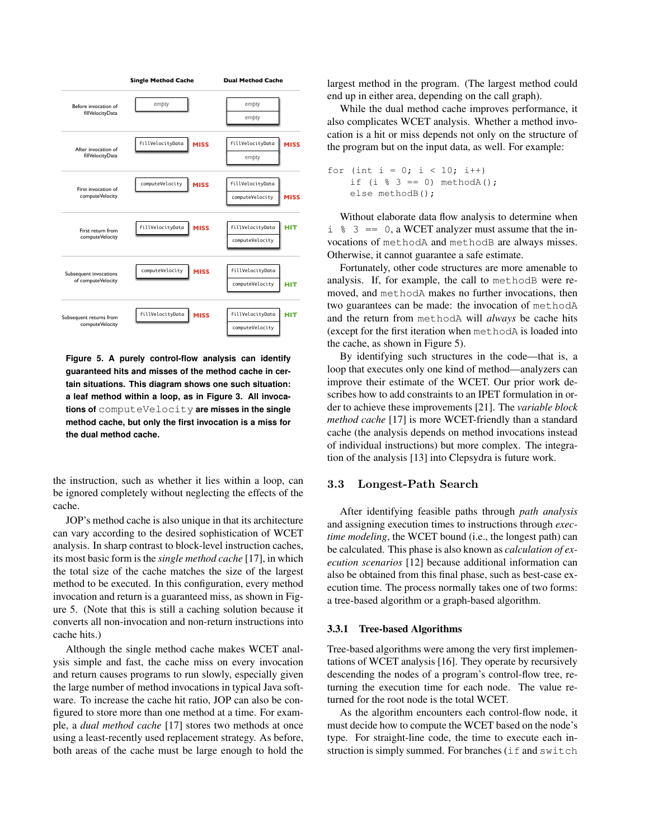

**Figure 5. A purely control-flow analysis can identify guaranteed hits and misses of the method cache in certain situations. This diagram shows one such situation: a leaf method within a loop, as in Figure 3. All invocations of** computeVelocity **are misses in the single method cache, but only the first invocation is a miss for the dual method cache.**

the instruction, such as whether it lies within a loop, can be ignored completely without neglecting the effects of the cache.

JOP's method cache is also unique in that its architecture can vary according to the desired sophistication of WCET analysis. In sharp contrast to block-level instruction caches, its most basic form is the *single method cache* [17], in which the total size of the cache matches the size of the largest method to be executed. In this configuration, every method invocation and return is a guaranteed miss, as shown in Figure 5. (Note that this is still a caching solution because it converts all non-invocation and non-return instructions into cache hits.)

Although the single method cache makes WCET analysis simple and fast, the cache miss on every invocation and return causes programs to run slowly, especially given the large number of method invocations in typical Java software. To increase the cache hit ratio, JOP can also be configured to store more than one method at a time. For example, a *dual method cache* [17] stores two methods at once using a least-recently used replacement strategy. As before, both areas of the cache must be large enough to hold the largest method in the program. (The largest method could end up in either area, depending on the call graph).

While the dual method cache improves performance, it also complicates WCET analysis. Whether a method invocation is a hit or miss depends not only on the structure of the program but on the input data, as well. For example:

```
for (int i = 0; i < 10; i++)
    if (i \; 8 \; 3 == 0) methodA();
    else methodB();
```
Without elaborate data flow analysis to determine when  $i \text{ }$   $\approx$  3 = 0, a WCET analyzer must assume that the invocations of methodA and methodB are always misses. Otherwise, it cannot guarantee a safe estimate.

Fortunately, other code structures are more amenable to analysis. If, for example, the call to methodB were removed, and methodA makes no further invocations, then two guarantees can be made: the invocation of methodA and the return from methodA will *always* be cache hits (except for the first iteration when methodA is loaded into the cache, as shown in Figure 5).

By identifying such structures in the code—that is, a loop that executes only one kind of method—analyzers can improve their estimate of the WCET. Our prior work describes how to add constraints to an IPET formulation in order to achieve these improvements [21]. The *variable block method cache* [17] is more WCET-friendly than a standard cache (the analysis depends on method invocations instead of individual instructions) but more complex. The integration of the analysis [13] into Clepsydra is future work.

#### 3.3 Longest-Path Search

After identifying feasible paths through *path analysis* and assigning execution times to instructions through *exectime modeling*, the WCET bound (i.e., the longest path) can be calculated. This phase is also known as *calculation of execution scenarios* [12] because additional information can also be obtained from this final phase, such as best-case execution time. The process normally takes one of two forms: a tree-based algorithm or a graph-based algorithm.

#### 3.3.1 Tree-based Algorithms

Tree-based algorithms were among the very first implementations of WCET analysis [16]. They operate by recursively descending the nodes of a program's control-flow tree, returning the execution time for each node. The value returned for the root node is the total WCET.

As the algorithm encounters each control-flow node, it must decide how to compute the WCET based on the node's type. For straight-line code, the time to execute each instruction is simply summed. For branches (if and switch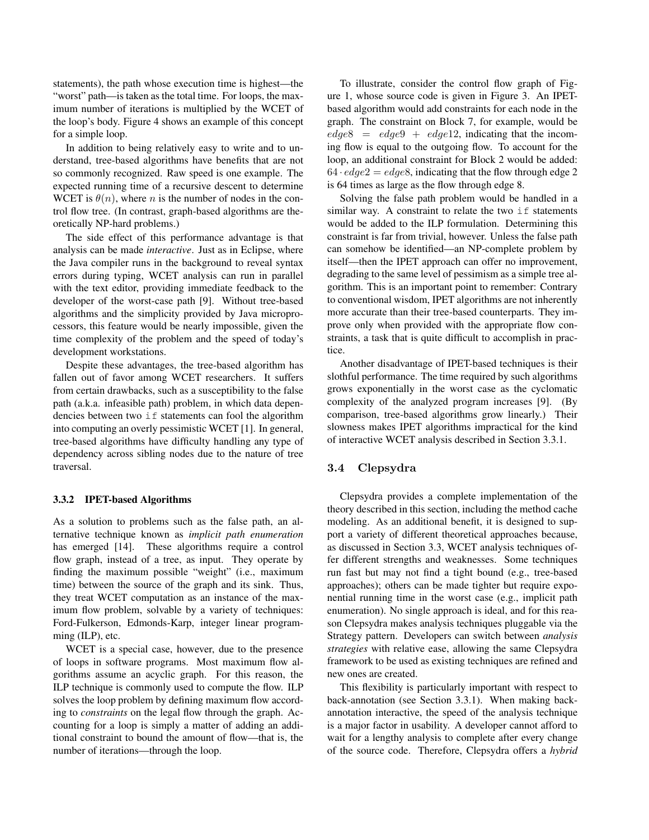statements), the path whose execution time is highest—the "worst" path—is taken as the total time. For loops, the maximum number of iterations is multiplied by the WCET of the loop's body. Figure 4 shows an example of this concept for a simple loop.

In addition to being relatively easy to write and to understand, tree-based algorithms have benefits that are not so commonly recognized. Raw speed is one example. The expected running time of a recursive descent to determine WCET is  $\theta(n)$ , where n is the number of nodes in the control flow tree. (In contrast, graph-based algorithms are theoretically NP-hard problems.)

The side effect of this performance advantage is that analysis can be made *interactive*. Just as in Eclipse, where the Java compiler runs in the background to reveal syntax errors during typing, WCET analysis can run in parallel with the text editor, providing immediate feedback to the developer of the worst-case path [9]. Without tree-based algorithms and the simplicity provided by Java microprocessors, this feature would be nearly impossible, given the time complexity of the problem and the speed of today's development workstations.

Despite these advantages, the tree-based algorithm has fallen out of favor among WCET researchers. It suffers from certain drawbacks, such as a susceptibility to the false path (a.k.a. infeasible path) problem, in which data dependencies between two if statements can fool the algorithm into computing an overly pessimistic WCET [1]. In general, tree-based algorithms have difficulty handling any type of dependency across sibling nodes due to the nature of tree traversal.

#### 3.3.2 IPET-based Algorithms

As a solution to problems such as the false path, an alternative technique known as *implicit path enumeration* has emerged [14]. These algorithms require a control flow graph, instead of a tree, as input. They operate by finding the maximum possible "weight" (i.e., maximum time) between the source of the graph and its sink. Thus, they treat WCET computation as an instance of the maximum flow problem, solvable by a variety of techniques: Ford-Fulkerson, Edmonds-Karp, integer linear programming (ILP), etc.

WCET is a special case, however, due to the presence of loops in software programs. Most maximum flow algorithms assume an acyclic graph. For this reason, the ILP technique is commonly used to compute the flow. ILP solves the loop problem by defining maximum flow according to *constraints* on the legal flow through the graph. Accounting for a loop is simply a matter of adding an additional constraint to bound the amount of flow—that is, the number of iterations—through the loop.

To illustrate, consider the control flow graph of Figure 1, whose source code is given in Figure 3. An IPETbased algorithm would add constraints for each node in the graph. The constraint on Block 7, for example, would be  $edge8 = edge9 + edge12$ , indicating that the incoming flow is equal to the outgoing flow. To account for the loop, an additional constraint for Block 2 would be added:  $64 \cdot \text{edge2} = \text{edge8}$ , indicating that the flow through edge 2 is 64 times as large as the flow through edge 8.

Solving the false path problem would be handled in a similar way. A constraint to relate the two if statements would be added to the ILP formulation. Determining this constraint is far from trivial, however. Unless the false path can somehow be identified—an NP-complete problem by itself—then the IPET approach can offer no improvement, degrading to the same level of pessimism as a simple tree algorithm. This is an important point to remember: Contrary to conventional wisdom, IPET algorithms are not inherently more accurate than their tree-based counterparts. They improve only when provided with the appropriate flow constraints, a task that is quite difficult to accomplish in practice.

Another disadvantage of IPET-based techniques is their slothful performance. The time required by such algorithms grows exponentially in the worst case as the cyclomatic complexity of the analyzed program increases [9]. (By comparison, tree-based algorithms grow linearly.) Their slowness makes IPET algorithms impractical for the kind of interactive WCET analysis described in Section 3.3.1.

#### 3.4 Clepsydra

Clepsydra provides a complete implementation of the theory described in this section, including the method cache modeling. As an additional benefit, it is designed to support a variety of different theoretical approaches because, as discussed in Section 3.3, WCET analysis techniques offer different strengths and weaknesses. Some techniques run fast but may not find a tight bound (e.g., tree-based approaches); others can be made tighter but require exponential running time in the worst case (e.g., implicit path enumeration). No single approach is ideal, and for this reason Clepsydra makes analysis techniques pluggable via the Strategy pattern. Developers can switch between *analysis strategies* with relative ease, allowing the same Clepsydra framework to be used as existing techniques are refined and new ones are created.

This flexibility is particularly important with respect to back-annotation (see Section 3.3.1). When making backannotation interactive, the speed of the analysis technique is a major factor in usability. A developer cannot afford to wait for a lengthy analysis to complete after every change of the source code. Therefore, Clepsydra offers a *hybrid*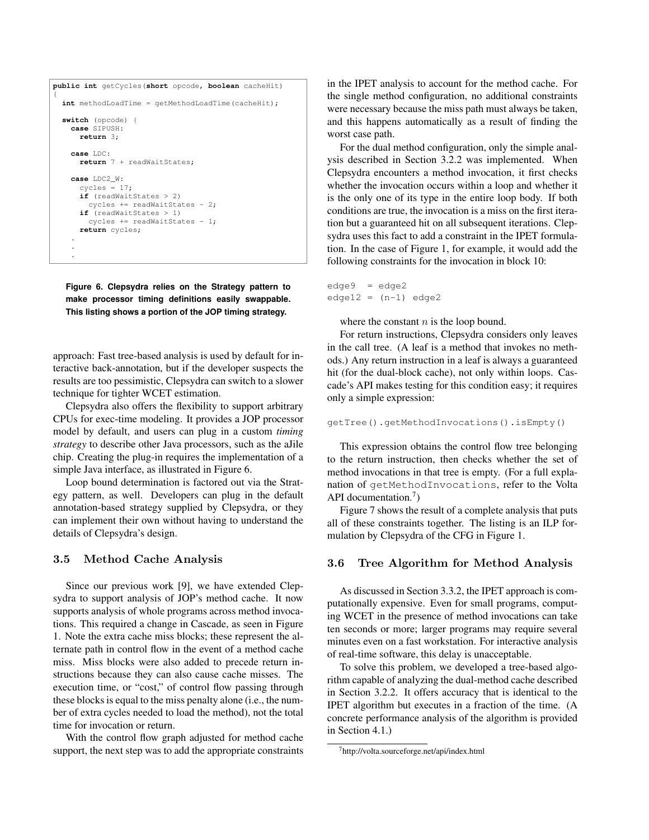```
public int getCycles(short opcode, boolean cacheHit)
{
 int methodLoadTime = getMethodLoadTime(cacheHit);
  switch (opcode) {
    case SIPUSH:
     return 3;
    case LDC:
     return 7 + readWaitStates;
    case LDC2_W:
     cycles = 17;
      if (readWaitStates > 2)
        cycles += readWaitStates - 2;
      if (readWaitStates > 1)
        cycles += readWaitStates - 1;
      return cycles;
    .
    .
    .
```
**Figure 6. Clepsydra relies on the Strategy pattern to make processor timing definitions easily swappable. This listing shows a portion of the JOP timing strategy.**

approach: Fast tree-based analysis is used by default for interactive back-annotation, but if the developer suspects the results are too pessimistic, Clepsydra can switch to a slower technique for tighter WCET estimation.

Clepsydra also offers the flexibility to support arbitrary CPUs for exec-time modeling. It provides a JOP processor model by default, and users can plug in a custom *timing strategy* to describe other Java processors, such as the aJile chip. Creating the plug-in requires the implementation of a simple Java interface, as illustrated in Figure 6.

Loop bound determination is factored out via the Strategy pattern, as well. Developers can plug in the default annotation-based strategy supplied by Clepsydra, or they can implement their own without having to understand the details of Clepsydra's design.

### 3.5 Method Cache Analysis

Since our previous work [9], we have extended Clepsydra to support analysis of JOP's method cache. It now supports analysis of whole programs across method invocations. This required a change in Cascade, as seen in Figure 1. Note the extra cache miss blocks; these represent the alternate path in control flow in the event of a method cache miss. Miss blocks were also added to precede return instructions because they can also cause cache misses. The execution time, or "cost," of control flow passing through these blocks is equal to the miss penalty alone (i.e., the number of extra cycles needed to load the method), not the total time for invocation or return.

With the control flow graph adjusted for method cache support, the next step was to add the appropriate constraints in the IPET analysis to account for the method cache. For the single method configuration, no additional constraints were necessary because the miss path must always be taken, and this happens automatically as a result of finding the worst case path.

For the dual method configuration, only the simple analysis described in Section 3.2.2 was implemented. When Clepsydra encounters a method invocation, it first checks whether the invocation occurs within a loop and whether it is the only one of its type in the entire loop body. If both conditions are true, the invocation is a miss on the first iteration but a guaranteed hit on all subsequent iterations. Clepsydra uses this fact to add a constraint in the IPET formulation. In the case of Figure 1, for example, it would add the following constraints for the invocation in block 10:

edge9 = edge2  $edge12 = (n-1)$  edge2

where the constant  $n$  is the loop bound.

For return instructions, Clepsydra considers only leaves in the call tree. (A leaf is a method that invokes no methods.) Any return instruction in a leaf is always a guaranteed hit (for the dual-block cache), not only within loops. Cascade's API makes testing for this condition easy; it requires only a simple expression:

```
getTree().getMethodInvocations().isEmpty()
```
This expression obtains the control flow tree belonging to the return instruction, then checks whether the set of method invocations in that tree is empty. (For a full explanation of getMethodInvocations, refer to the Volta API documentation.<sup>7</sup>)

Figure 7 shows the result of a complete analysis that puts all of these constraints together. The listing is an ILP formulation by Clepsydra of the CFG in Figure 1.

#### 3.6 Tree Algorithm for Method Analysis

As discussed in Section 3.3.2, the IPET approach is computationally expensive. Even for small programs, computing WCET in the presence of method invocations can take ten seconds or more; larger programs may require several minutes even on a fast workstation. For interactive analysis of real-time software, this delay is unacceptable.

To solve this problem, we developed a tree-based algorithm capable of analyzing the dual-method cache described in Section 3.2.2. It offers accuracy that is identical to the IPET algorithm but executes in a fraction of the time. (A concrete performance analysis of the algorithm is provided in Section 4.1.)

<sup>7</sup>http://volta.sourceforge.net/api/index.html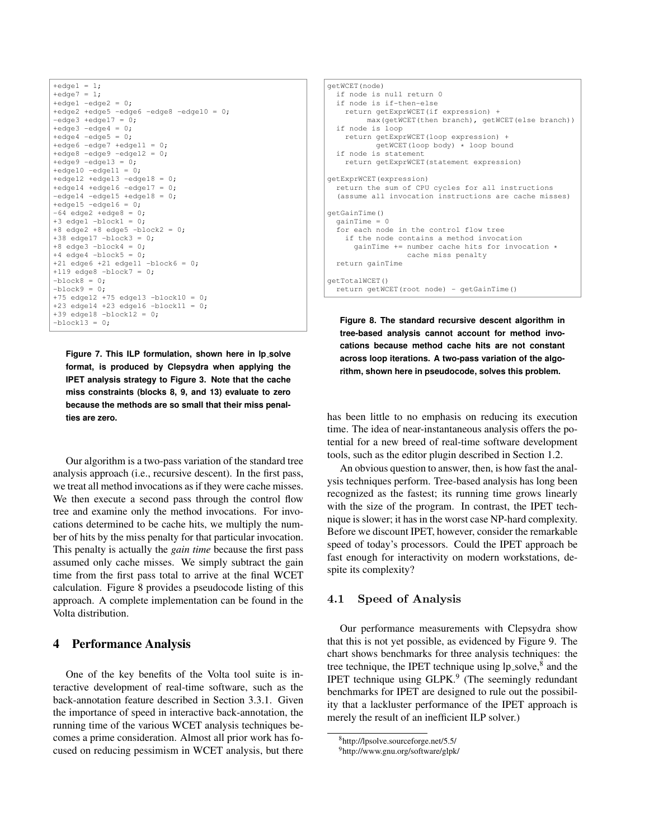```
+edge1 = 1;+edge7 = 1;
+edge1 -edge2 = 0;
+edge2 +edge5 -edge6 -edge8 -edge10 = 0;
-edge3 +edge17 = 0;
+edge3 -edge4 = 0;
+edge4 -edge5 = 0;
+edge6 -edge7 +edge11 = 0;+edge8 -edge9 -edge12 = 0;
+edge9 -edge13 = 0;+edge10 -edge11 = 0;
+edge12 +edge13 -edge18 = 0;+edge14 +edge16 -edge17 = 0;-edge14 -edge15 +edge18 = 0;
+edge15 -edge16 = 0;
-64 edge2 +edge8 = 0;
+3 edge1 -block1 = 0;
+8 edge2 +8 edge5 -block2 = 0;
+38 edge17 -block3 = 0;
+8 edge3 -block4 = 0;
+4 edge4 -block5 = 0;
+21 edge6 +21 edge11 -block6 = 0;
+119 edge8 -block7 = 0;-block8 = 0;-block9 = 0;
+75 edge12 +75 edge13 -block10 = 0;
+23 edge14 +23 edge16 -block11 = 0;
+39 edge18 -block12 = 0:
-block13 = 0;
```
**Figure 7. This ILP formulation, shown here in lp solve format, is produced by Clepsydra when applying the IPET analysis strategy to Figure 3. Note that the cache miss constraints (blocks 8, 9, and 13) evaluate to zero because the methods are so small that their miss penalties are zero.**

Our algorithm is a two-pass variation of the standard tree analysis approach (i.e., recursive descent). In the first pass, we treat all method invocations as if they were cache misses. We then execute a second pass through the control flow tree and examine only the method invocations. For invocations determined to be cache hits, we multiply the number of hits by the miss penalty for that particular invocation. This penalty is actually the *gain time* because the first pass assumed only cache misses. We simply subtract the gain time from the first pass total to arrive at the final WCET calculation. Figure 8 provides a pseudocode listing of this approach. A complete implementation can be found in the Volta distribution.

# 4 Performance Analysis

One of the key benefits of the Volta tool suite is interactive development of real-time software, such as the back-annotation feature described in Section 3.3.1. Given the importance of speed in interactive back-annotation, the running time of the various WCET analysis techniques becomes a prime consideration. Almost all prior work has focused on reducing pessimism in WCET analysis, but there

```
getWCET(node)
  if node is null return 0
 if node is if-then-else
   return getExprWCET(if expression) +
        max(getWCET(then branch), getWCET(else branch))
 if node is loop
   return getExprWCET(loop expression) +
          getWCET(loop body) * loop bound
 if node is statement
   return getExprWCET(statement expression)
getExprWCET(expression)
 return the sum of CPU cycles for all instructions
  (assume all invocation instructions are cache misses)
getGainTime()
 gainTime = 0
  for each node in the control flow tree
    if the node contains a method invocation
     gainTime += number cache hits for invocation *
                 cache miss penalty
 return gainTime
getTotalWCET()
 return getWCET(root node) - getGainTime()
```
**Figure 8. The standard recursive descent algorithm in tree-based analysis cannot account for method invocations because method cache hits are not constant across loop iterations. A two-pass variation of the algorithm, shown here in pseudocode, solves this problem.**

has been little to no emphasis on reducing its execution time. The idea of near-instantaneous analysis offers the potential for a new breed of real-time software development tools, such as the editor plugin described in Section 1.2.

An obvious question to answer, then, is how fast the analysis techniques perform. Tree-based analysis has long been recognized as the fastest; its running time grows linearly with the size of the program. In contrast, the IPET technique is slower; it has in the worst case NP-hard complexity. Before we discount IPET, however, consider the remarkable speed of today's processors. Could the IPET approach be fast enough for interactivity on modern workstations, despite its complexity?

### 4.1 Speed of Analysis

Our performance measurements with Clepsydra show that this is not yet possible, as evidenced by Figure 9. The chart shows benchmarks for three analysis techniques: the tree technique, the IPET technique using lp\_solve,<sup>8</sup> and the IPET technique using GLPK.<sup>9</sup> (The seemingly redundant benchmarks for IPET are designed to rule out the possibility that a lackluster performance of the IPET approach is merely the result of an inefficient ILP solver.)

<sup>8</sup>http://lpsolve.sourceforge.net/5.5/

<sup>9</sup>http://www.gnu.org/software/glpk/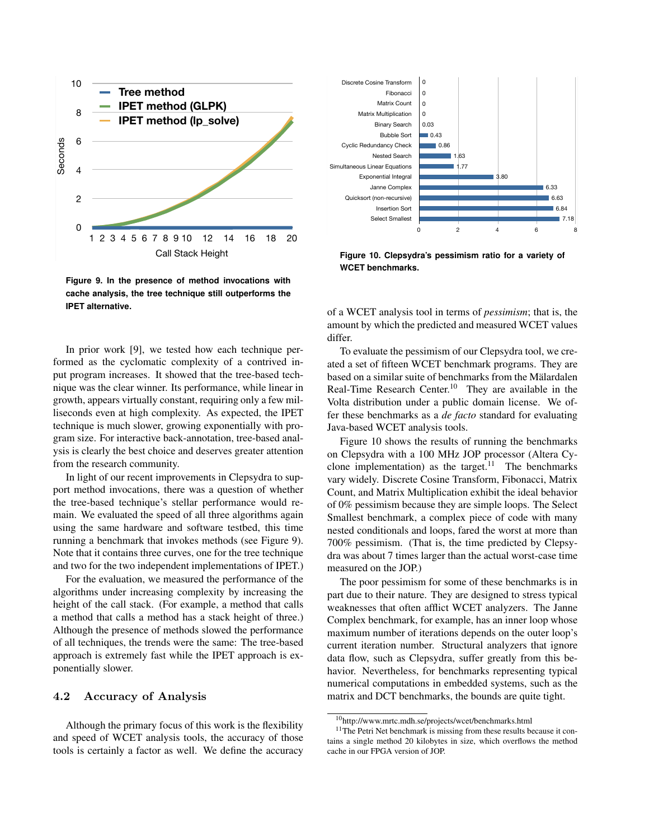

**Figure 9. In the presence of method invocations with cache analysis, the tree technique still outperforms the IPET alternative.**

In prior work [9], we tested how each technique performed as the cyclomatic complexity of a contrived input program increases. It showed that the tree-based technique was the clear winner. Its performance, while linear in growth, appears virtually constant, requiring only a few milliseconds even at high complexity. As expected, the IPET technique is much slower, growing exponentially with program size. For interactive back-annotation, tree-based analysis is clearly the best choice and deserves greater attention from the research community.

In light of our recent improvements in Clepsydra to support method invocations, there was a question of whether the tree-based technique's stellar performance would remain. We evaluated the speed of all three algorithms again using the same hardware and software testbed, this time running a benchmark that invokes methods (see Figure 9). Note that it contains three curves, one for the tree technique and two for the two independent implementations of IPET.)

For the evaluation, we measured the performance of the algorithms under increasing complexity by increasing the height of the call stack. (For example, a method that calls a method that calls a method has a stack height of three.) Although the presence of methods slowed the performance of all techniques, the trends were the same: The tree-based approach is extremely fast while the IPET approach is exponentially slower.

#### 4.2 Accuracy of Analysis

Although the primary focus of this work is the flexibility and speed of WCET analysis tools, the accuracy of those tools is certainly a factor as well. We define the accuracy



**Figure 10. Clepsydra's pessimism ratio for a variety of WCET benchmarks.**

of a WCET analysis tool in terms of *pessimism*; that is, the amount by which the predicted and measured WCET values differ.

To evaluate the pessimism of our Clepsydra tool, we created a set of fifteen WCET benchmark programs. They are based on a similar suite of benchmarks from the Mälardalen Real-Time Research Center.<sup>10</sup> They are available in the Volta distribution under a public domain license. We offer these benchmarks as a *de facto* standard for evaluating Java-based WCET analysis tools.

Figure 10 shows the results of running the benchmarks on Clepsydra with a 100 MHz JOP processor (Altera Cyclone implementation) as the target.<sup>11</sup> The benchmarks vary widely. Discrete Cosine Transform, Fibonacci, Matrix Count, and Matrix Multiplication exhibit the ideal behavior of 0% pessimism because they are simple loops. The Select Smallest benchmark, a complex piece of code with many nested conditionals and loops, fared the worst at more than 700% pessimism. (That is, the time predicted by Clepsydra was about 7 times larger than the actual worst-case time measured on the JOP.)

The poor pessimism for some of these benchmarks is in part due to their nature. They are designed to stress typical weaknesses that often afflict WCET analyzers. The Janne Complex benchmark, for example, has an inner loop whose maximum number of iterations depends on the outer loop's current iteration number. Structural analyzers that ignore data flow, such as Clepsydra, suffer greatly from this behavior. Nevertheless, for benchmarks representing typical numerical computations in embedded systems, such as the matrix and DCT benchmarks, the bounds are quite tight.

<sup>10</sup>http://www.mrtc.mdh.se/projects/wcet/benchmarks.html

 $11$ The Petri Net benchmark is missing from these results because it contains a single method 20 kilobytes in size, which overflows the method cache in our FPGA version of JOP.